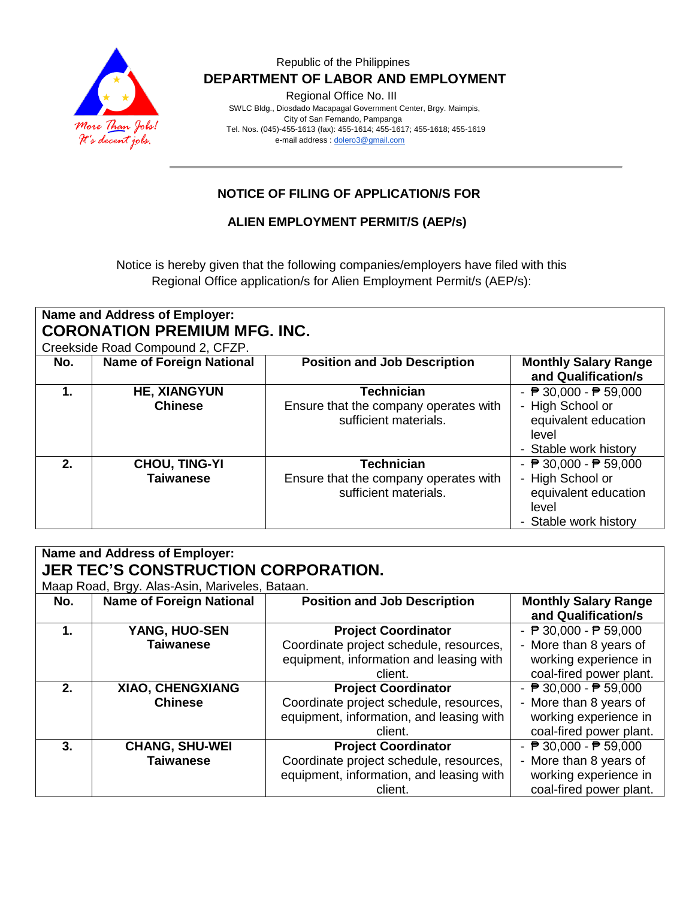

#### Republic of the Philippines  **DEPARTMENT OF LABOR AND EMPLOYMENT**

Regional Office No. III

 SWLC Bldg., Diosdado Macapagal Government Center, Brgy. Maimpis, City of San Fernando, Pampanga Tel. Nos. (045)-455-1613 (fax): 455-1614; 455-1617; 455-1618; 455-1619 e-mail address [: dolero3@gmail.com](mailto:dolero3@gmail.com)

## **NOTICE OF FILING OF APPLICATION/S FOR**

#### **ALIEN EMPLOYMENT PERMIT/S (AEP/s)**

Notice is hereby given that the following companies/employers have filed with this Regional Office application/s for Alien Employment Permit/s (AEP/s):

| <b>Name and Address of Employer:</b><br><b>CORONATION PREMIUM MFG. INC.</b><br>Creekside Road Compound 2, CFZP. |                                          |                                                                                     |                                                                                                                               |  |  |
|-----------------------------------------------------------------------------------------------------------------|------------------------------------------|-------------------------------------------------------------------------------------|-------------------------------------------------------------------------------------------------------------------------------|--|--|
| No.                                                                                                             | <b>Name of Foreign National</b>          | <b>Position and Job Description</b>                                                 | <b>Monthly Salary Range</b><br>and Qualification/s                                                                            |  |  |
| 1.                                                                                                              | <b>HE, XIANGYUN</b><br><b>Chinese</b>    | <b>Technician</b><br>Ensure that the company operates with<br>sufficient materials. | - $\overline{P}$ 30,000 - $\overline{P}$ 59,000<br>- High School or<br>equivalent education<br>level<br>- Stable work history |  |  |
| $2_{-}$                                                                                                         | <b>CHOU, TING-YI</b><br><b>Taiwanese</b> | <b>Technician</b><br>Ensure that the company operates with<br>sufficient materials. | - $\overline{P}$ 30,000 - $\overline{P}$ 59,000<br>- High School or<br>equivalent education<br>level<br>- Stable work history |  |  |

| Name and Address of Employer:<br><b>JER TEC'S CONSTRUCTION CORPORATION.</b> |                                 |                                          |                                                    |  |  |  |
|-----------------------------------------------------------------------------|---------------------------------|------------------------------------------|----------------------------------------------------|--|--|--|
| Maap Road, Brgy. Alas-Asin, Mariveles, Bataan.                              |                                 |                                          |                                                    |  |  |  |
| No.                                                                         | <b>Name of Foreign National</b> | <b>Position and Job Description</b>      | <b>Monthly Salary Range</b><br>and Qualification/s |  |  |  |
| $\mathbf 1$ .                                                               | YANG, HUO-SEN                   | <b>Project Coordinator</b>               | - $\overline{P}$ 30,000 - $\overline{P}$ 59,000    |  |  |  |
|                                                                             | <b>Taiwanese</b>                | Coordinate project schedule, resources,  | - More than 8 years of                             |  |  |  |
|                                                                             |                                 | equipment, information and leasing with  | working experience in                              |  |  |  |
|                                                                             |                                 | client.                                  | coal-fired power plant.                            |  |  |  |
| 2.                                                                          | XIAO, CHENGXIANG                | <b>Project Coordinator</b>               | - $\sqrt{P}$ 30,000 - $\sqrt{P}$ 59,000            |  |  |  |
|                                                                             | <b>Chinese</b>                  | Coordinate project schedule, resources,  | - More than 8 years of                             |  |  |  |
|                                                                             |                                 | equipment, information, and leasing with | working experience in                              |  |  |  |
|                                                                             |                                 | client.                                  | coal-fired power plant.                            |  |  |  |
| 3.                                                                          | <b>CHANG, SHU-WEI</b>           | <b>Project Coordinator</b>               | - $\overline{P}$ 30,000 - $\overline{P}$ 59,000    |  |  |  |
|                                                                             | <b>Taiwanese</b>                | Coordinate project schedule, resources,  | - More than 8 years of                             |  |  |  |
|                                                                             |                                 | equipment, information, and leasing with | working experience in                              |  |  |  |
|                                                                             |                                 | client.                                  | coal-fired power plant.                            |  |  |  |